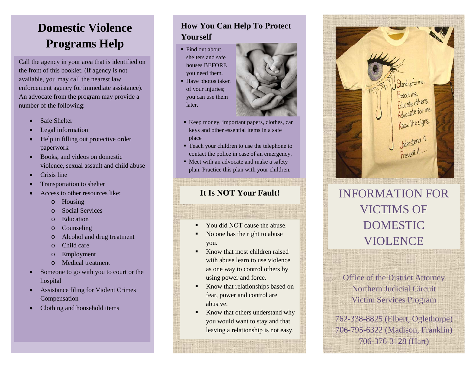#### **Domestic Violence Programs Help**

Call the agency in your area that is identified on the front of this booklet. (If agency is not available, you may call the nearest law enforcement agency for immediate assistance). An advocate from the program may provide a number of the following:

- Safe Shelter
- Legal information
- Help in filling out protective order paperwork
- Books, and videos on domestic violence, sexual assault and child abuse
- Crisis line
- Transportation to shelter
- Access to other resources like:
	- o Housing
	- o Social Services
	- o Education
	- o Counseling
	- o Alcohol and drug treatment
	- o Child care
	- o Employment
	- o Medical treatment
- Someone to go with you to court or the hospital
- Assistance filing for Violent Crimes Compensation
- Clothing and household items

#### **How You Can Help To Protect Yourself**

- Find out about shelters and safe houses BEFORE you need them.
- Have photos taken of your injuries; you can use them later.
- Keep money, important papers, clothes, car keys and other essential items in a safe place
- Teach your children to use the telephone to contact the police in case of an emergency.
- Meet with an advocate and make a safety plan. Practice this plan with your children.

- You did NOT cause the abuse.
- No one has the right to abuse you.
- Know that most children raised with abuse learn to use violence as one way to control others by using power and force.
- Know that relationships based on fear, power and control are abusive.
- Know that others understand why you would want to stay and that leaving a relationship is not easy.



### **It Is NOT Your Fault!** INFORMATION FOR VICTIMS OF DOMESTIC VIOLENCE

Office of the District Attorney Northern Judicial Circuit Victim Services Program

762-338-8825 (Elbert, Oglethorpe) 706-795-6322 (Madison, Franklin) 706-376-3128 (Hart)